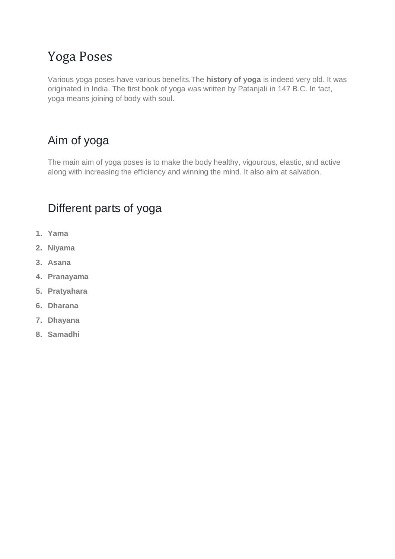# Yoga Poses

Various yoga poses have various benefits.The **history of yoga** is indeed very old. It was originated in India. The first book of yoga was written by Patanjali in 147 B.C. In fact, yoga means joining of body with soul.

## Aim of yoga

The main aim of yoga poses is to make the body healthy, vigourous, elastic, and active along with increasing the efficiency and winning the mind. It also aim at salvation.

## Different parts of yoga

- **1. Yama**
- **2. Niyama**
- **3. Asana**
- **4. Pranayama**
- **5. Pratyahara**
- **6. Dharana**
- **7. Dhayana**
- **8. Samadhi**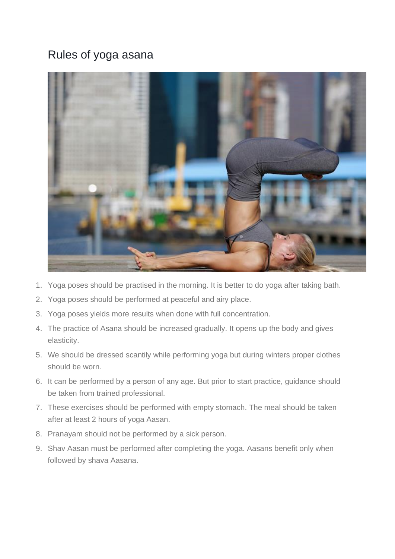### Rules of yoga asana



- 1. Yoga poses should be practised in the morning. It is better to do yoga after taking bath.
- 2. Yoga poses should be performed at peaceful and airy place.
- 3. Yoga poses yields more results when done with full concentration.
- 4. The practice of Asana should be increased gradually. It opens up the body and gives elasticity.
- 5. We should be dressed scantily while performing yoga but during winters proper clothes should be worn.
- 6. It can be performed by a person of any age. But prior to start practice, guidance should be taken from trained professional.
- 7. These exercises should be performed with empty stomach. The meal should be taken after at least 2 hours of yoga Aasan.
- 8. Pranayam should not be performed by a sick person.
- 9. Shav Aasan must be performed after completing the yoga. Aasans benefit only when followed by shava Aasana.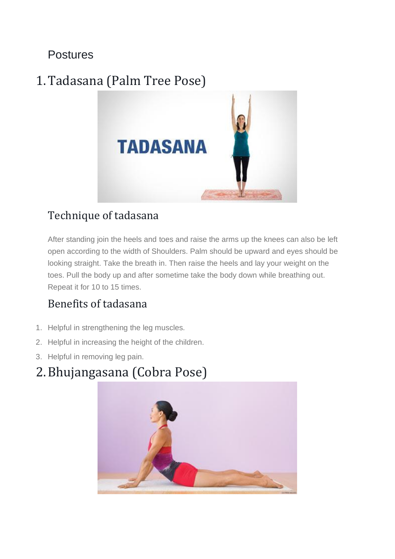Postures

# 1.Tadasana (Palm Tree Pose)



## Technique of tadasana

After standing join the heels and toes and raise the arms up the knees can also be left open according to the width of Shoulders. Palm should be upward and eyes should be looking straight. Take the breath in. Then raise the heels and lay your weight on the toes. Pull the body up and after sometime take the body down while breathing out. Repeat it for 10 to 15 times.

## Benefits of tadasana

- 1. Helpful in strengthening the leg muscles.
- 2. Helpful in increasing the height of the children.
- 3. Helpful in removing leg pain.

# 2.Bhujangasana (Cobra Pose)

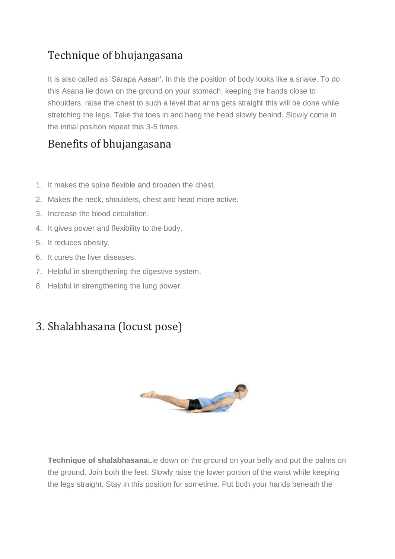## Technique of bhujangasana

It is also called as 'Sarapa Aasan'. In this the position of body looks like a snake. To do this Asana lie down on the ground on your stomach, keeping the hands close to shoulders, raise the chest to such a level that arms gets straight this will be done while stretching the legs. Take the toes in and hang the head slowly behind. Slowly come in the initial position repeat this 3-5 times.

### Benefits of bhujangasana

- 1. It makes the spine flexible and broaden the chest.
- 2. Makes the neck, shoulders, chest and head more active.
- 3. Increase the blood circulation.
- 4. It gives power and flexibility to the body.
- 5. It reduces obesity.
- 6. It cures the liver diseases.
- 7. Helpful in strengthening the digestive system.
- 8. Helpful in strengthening the lung power.

### 3. Shalabhasana (locust pose)



**Technique of shalabhasana**Lie down on the ground on your belly and put the palms on the ground. Join both the feet. Slowly raise the lower portion of the waist while keeping the legs straight. Stay in this position for sometime. Put both your hands beneath the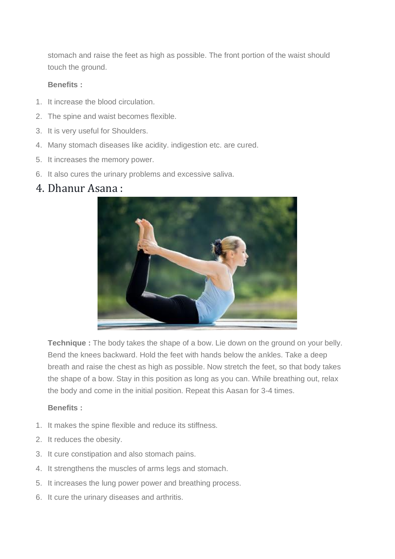stomach and raise the feet as high as possible. The front portion of the waist should touch the ground.

#### **Benefits :**

- 1. It increase the blood circulation.
- 2. The spine and waist becomes flexible.
- 3. It is very useful for Shoulders.
- 4. Many stomach diseases like acidity. indigestion etc. are cured.
- 5. It increases the memory power.
- 6. It also cures the urinary problems and excessive saliva.

### 4. Dhanur Asana :



**Technique :** The body takes the shape of a bow. Lie down on the ground on your belly. Bend the knees backward. Hold the feet with hands below the ankles. Take a deep breath and raise the chest as high as possible. Now stretch the feet, so that body takes the shape of a bow. Stay in this position as long as you can. While breathing out, relax the body and come in the initial position. Repeat this Aasan for 3-4 times.

#### **Benefits :**

- 1. It makes the spine flexible and reduce its stiffness.
- 2. It reduces the obesity.
- 3. It cure constipation and also stomach pains.
- 4. It strengthens the muscles of arms legs and stomach.
- 5. It increases the lung power power and breathing process.
- 6. It cure the urinary diseases and arthritis.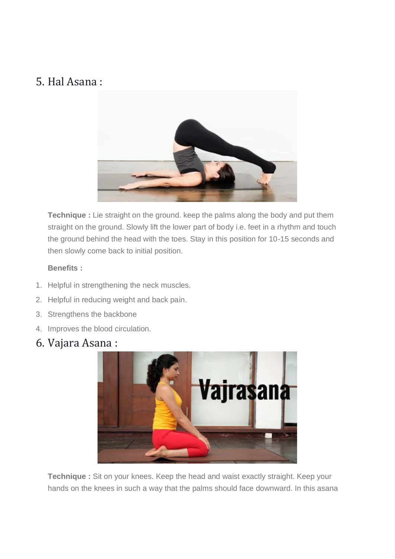## 5. Hal Asana :



**Technique :** Lie straight on the ground. keep the palms along the body and put them straight on the ground. Slowly lift the lower part of body i.e. feet in a rhythm and touch the ground behind the head with the toes. Stay in this position for 10-15 seconds and then slowly come back to initial position.

#### **Benefits :**

- 1. Helpful in strengthening the neck muscles.
- 2. Helpful in reducing weight and back pain.
- 3. Strengthens the backbone
- 4. Improves the blood circulation.
- 6. Vajara Asana :



**Technique :** Sit on your knees. Keep the head and waist exactly straight. Keep your hands on the knees in such a way that the palms should face downward. In this asana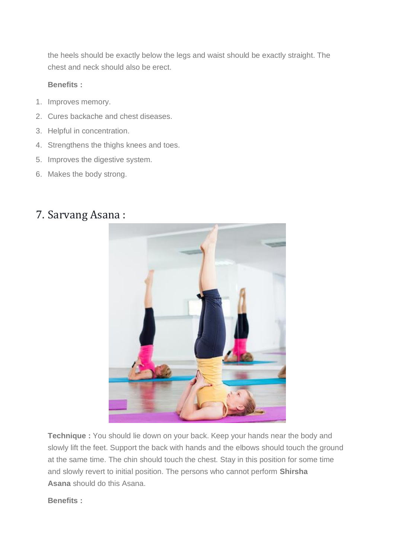the heels should be exactly below the legs and waist should be exactly straight. The chest and neck should also be erect.

#### **Benefits :**

- 1. Improves memory.
- 2. Cures backache and chest diseases.
- 3. Helpful in concentration.
- 4. Strengthens the thighs knees and toes.
- 5. Improves the digestive system.
- 6. Makes the body strong.

### 7. Sarvang Asana :



**Technique :** You should lie down on your back. Keep your hands near the body and slowly lift the feet. Support the back with hands and the elbows should touch the ground at the same time. The chin should touch the chest. Stay in this position for some time and slowly revert to initial position. The persons who cannot perform **Shirsha Asana** should do this Asana.

**Benefits :**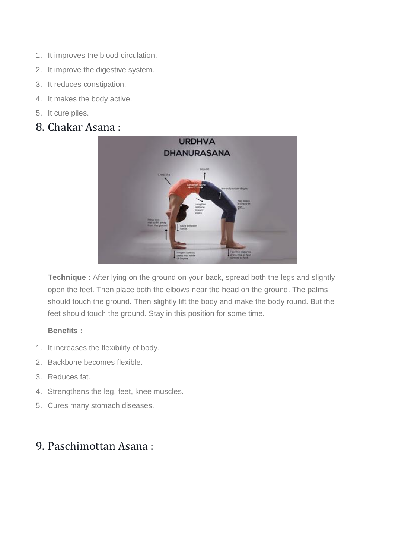- 1. It improves the blood circulation.
- 2. It improve the digestive system.
- 3. It reduces constipation.
- 4. It makes the body active.
- 5. It cure piles.

### 8. Chakar Asana :



**Technique :** After lying on the ground on your back, spread both the legs and slightly open the feet. Then place both the elbows near the head on the ground. The palms should touch the ground. Then slightly lift the body and make the body round. But the feet should touch the ground. Stay in this position for some time.

#### **Benefits :**

- 1. It increases the flexibility of body.
- 2. Backbone becomes flexible.
- 3. Reduces fat.
- 4. Strengthens the leg, feet, knee muscles.
- 5. Cures many stomach diseases.

### 9. Paschimottan Asana :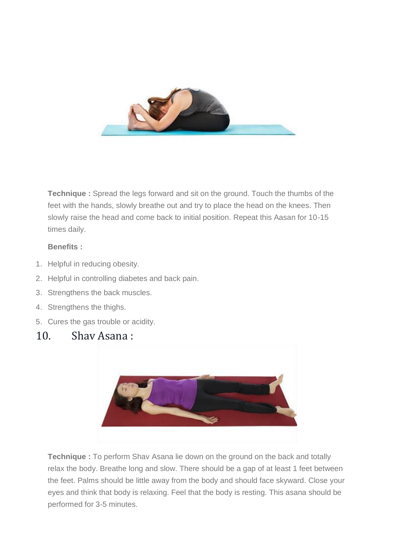

**Technique :** Spread the legs forward and sit on the ground. Touch the thumbs of the feet with the hands, slowly breathe out and try to place the head on the knees. Then slowly raise the head and come back to initial position. Repeat this Aasan for 10-15 times daily.

#### **Benefits :**

- 1. Helpful in reducing obesity.
- 2. Helpful in controlling diabetes and back pain.
- 3. Strengthens the back muscles.
- 4. Strengthens the thighs.
- 5. Cures the gas trouble or acidity.

### 10. Shav Asana :



**Technique :** To perform Shav Asana lie down on the ground on the back and totally relax the body. Breathe long and slow. There should be a gap of at least 1 feet between the feet. Palms should be little away from the body and should face skyward. Close your eyes and think that body is relaxing. Feel that the body is resting. This asana should be performed for 3-5 minutes.